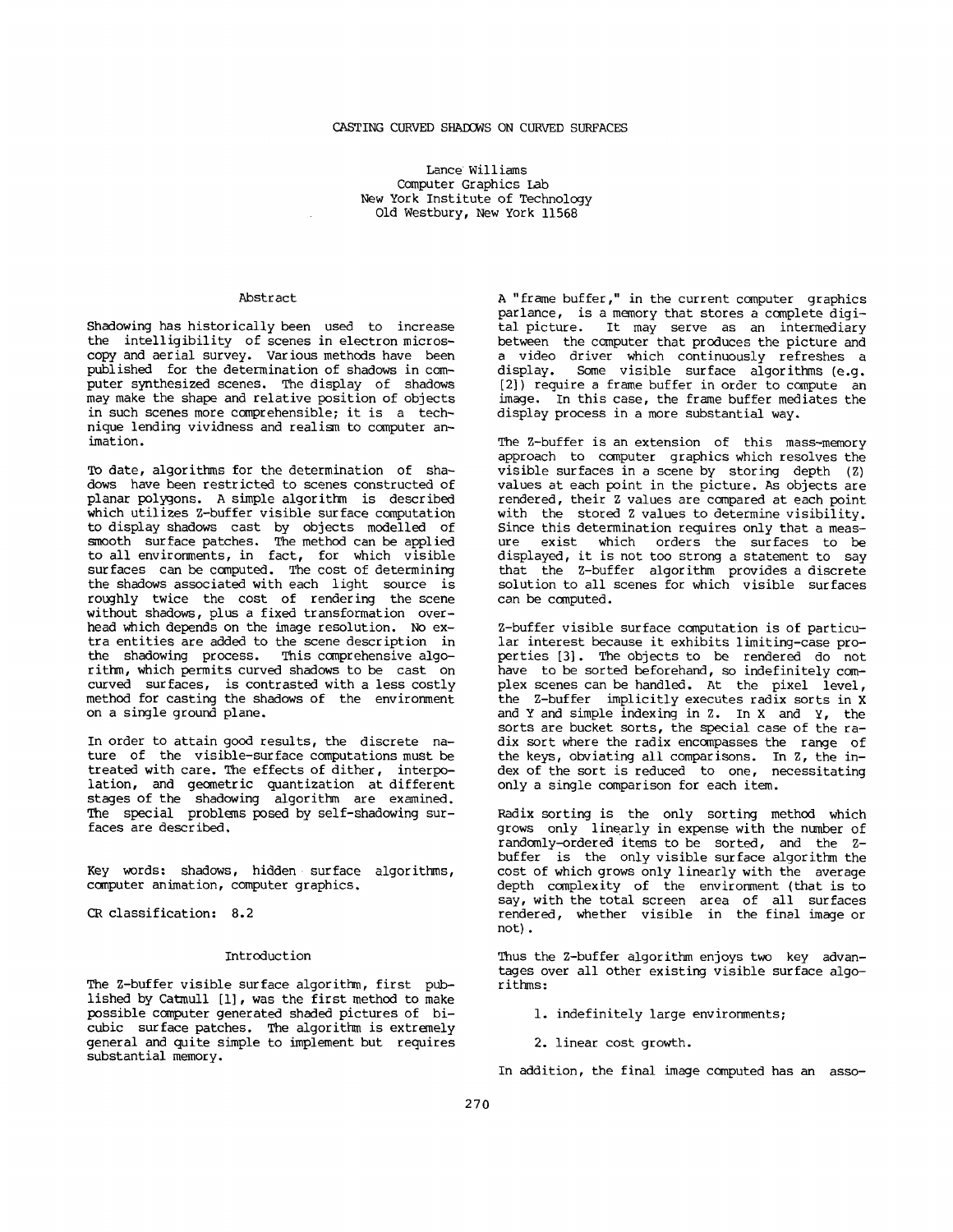# CASTING CURVED SHADOWS ON CURVED SURFACES

Lance Williams Computer Graphics Lab New York Institute of Technology Old Westbury, New York 11568

### Abstract

Shadowing has historically been used to increase the intelligibility of scenes in electron microscopy and aerial survey. Various methods have been published for the determination of shadows in computer synthesized scenes. The display of shadows may make the shape and relative position of objects in such scenes more comprehensible; it is a technique lending vividness and realism to computer animation.

To date, algorithms for the determination of shadows have been restricted to scenes constructed of planar polygons. A simple algorithm is described which utilizes Z-buffer visible surface computation to display shadows cast by objects modelled of smooth surface patches. The method can be applied to all environments, in fact, for which visible surfaces can be computed. The cost of determining the shadows associated with each light source is roughly twice the cost of rendering the scene without shadows, plus a fixed transformation overhead which depends on the image resolution. No extra entities are added to the scene description in the shadowing process. This comprehensive algorithm, which permits curved shadows to be cast on curved surfaces, is contrasted with a less costly method for casting the shadows of the environment on a single ground plane.

In order to attain good results, the discrete nature of the visible-surface computations must be treated with care. The effects of dither, interpolation, and geometric quantization at different stages of the shadowing algorithm are examined. The special problems posed by self-shadowing surfaces are described.

Key words: shadows, hidden surface algorithms, computer animation, computer graphics.

CRclassification: 8.2

#### Introduction

The Z-buffer visible surface algorithm, first published by Catmull [i], was the first method to make possible computer generated shaded pictures of hicubic surface patches. The algorithm is extremely general and quite simple to implement but requires substantial memory.

A "frane buffer," in the current computer graphics parlance, is a memory that stores a complete digital picture. It may serve as an intermediary between the computer that produces the picture and a video driver which continuously refreshes a<br>display. Some visible surface algorithms (e.g. Some visible surface algorithms (e.g. [2]) require a frame buffer in order to compute an image. In this case, the frame buffer mediates the display process in a more substantial way.

The Z-buffer is an extension of this mass-memory approach to computer graphics which resolves the visible surfaces in a scene by storing depth (Z) values at each point in the picture. As objects are rendered, their Z values are compared at each point with the stored 2 values to determine visibility. Since this determination requires only that a measure exist which orders the surfaces to be displayed, it is not too strong a statement to say that the Z-buffer algorithm provides a discrete solution to all scenes for which visible surfaces can be computed.

Z-buffer visible surface computation is of particular interest because it exhibits limiting-case properties [3]. The objects to be rendered do not have to be sorted beforehand, so indefinitely complex scenes can be handled. At the pixel level, the Z-buffer implicitly executes radix sorts in X and Y and simple indexing in Z. In X and Y, the sorts are bucket sorts, the special case of the radix sort where the radix encompasses the range of the keys, obviating all comparisons. In Z, the index of the sort is reduced to one, necessitating only a single comparison for each item.

Radix sorting is the only sorting method which grows only linearly in expense with the number of randomly-ordered items to be sorted, and the Zbuffer is the only visible surface algorithm the cost of which grows only linearly with the average depth complexity of the envirorment (that is to say, with the total screen area of all surfaces rendered, whether visible in the final image or not).

Thus the Z-buffer algorithm enjoys two key advantages over all other existing visible surface algorithms:

1. indefinitely large envirorments;

2. linear cost growth.

In addition, the final image computed has an asso-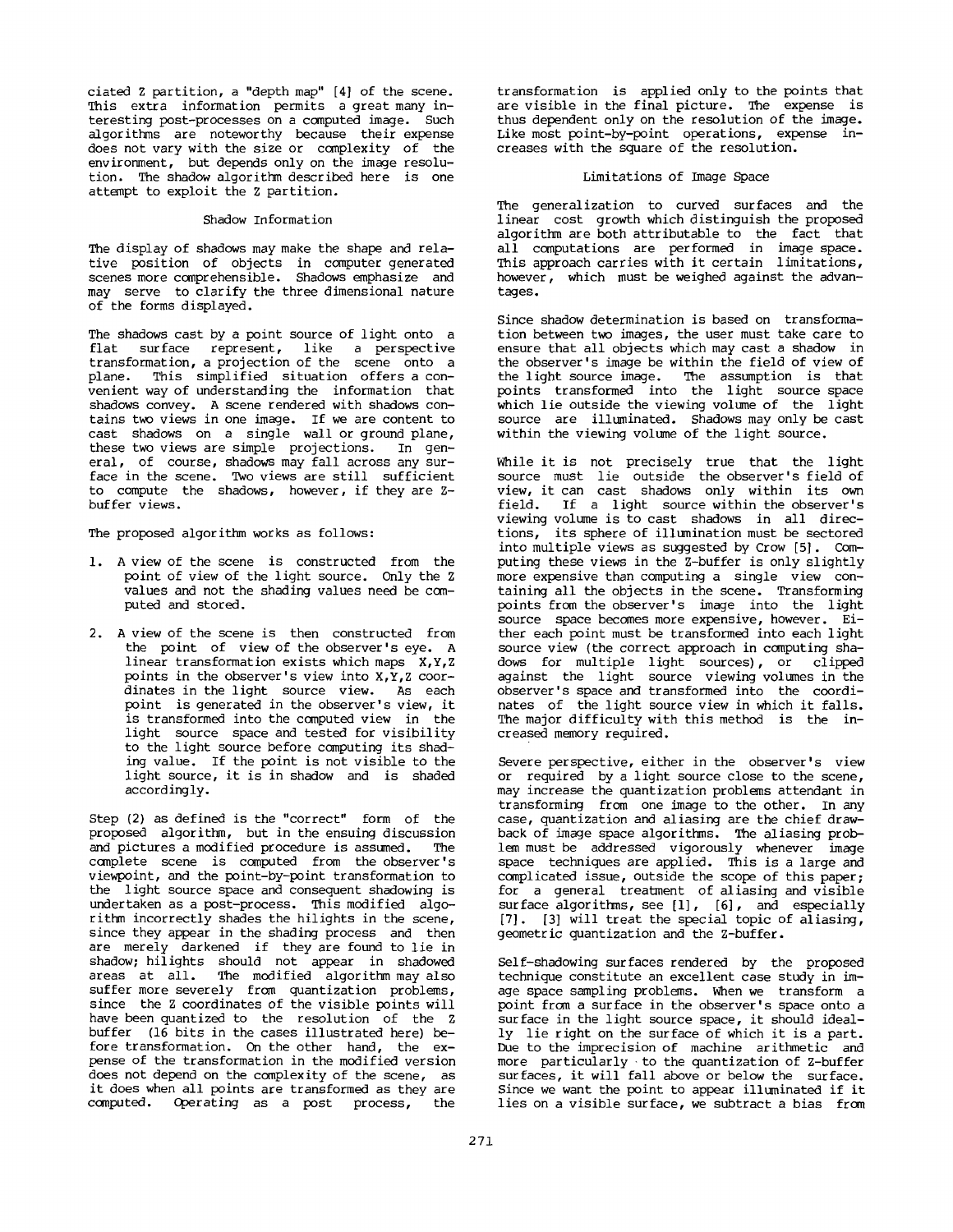ciated Z partition, a "depth map" [4] of the scene. This extra information permits a great many interesting post-processes on a computed image. Such algorithms are noteworthy because their expense does not vary with the size or complexity of the environment, but depends only on the image resolution. The shadow algorithm described here is one attempt to exploit the Z partition.

# Shadow Information

The display of shadows may make the shape and relative position of objects in computer generated scenes more comprehensible. Shadows emphasize and may serve to clarify the three dimensional nature of the forms displayed.

The shadows cast by a point source of light onto a<br>flat surface represent. like a perspective surface represent, like a perspective transformation, a projection of the scene onto a plane. This simplified situation offers a convenient way of understanding the information that shadows convey. A scene rendered with shadows contains two views in one image. If we are content to cast shadows on a single wall or ground plane, these two views are simple projections. In general, of course, shadows may fall across any surface in the scene. Two views are still sufficient to compute the shadows, however, if they are Zbuffer views.

The proposed algorithm works as follows:

- i. A view of the scene is constructed from the point of view of the light source. Only the Z values and not the shading values need be computed and stored.
- 2. A view of the scene is then constructed from the point of view of the observer's eye. A linear transformation exists which maps  $X, Y, Z$ points in the observer's view into  $X,Y,Z$  coordinates in the light source view. As each point is generated in the observer's view, it is transformed into the computed view in the light source space and tested for visibility to the light source before computing its shading value. If the point is not visible to the light source, it is in shadow and is shaded accordingly.

Step (2) as defined is the "correct" form of the proposed algorithm, but in the ensuing discussion and pictures a modified procedure is assumed. The complete scene is computed from the observer's viewpoint, and the point-by-point transformation to the light source space and consequent shadowing is undertaken as a post-process. This modified algorithm incorrectly shades the hilights in the scene, since they appear in the shading process and then are merely darkened if they are found to lie in shadow; hilights should not appear in shadowed<br>areas at all. The modified algorithm may also The modified algorithm may also suffer more severely from quantization problems, since the Z coordinates of the visible points will have been quantized to the resolution of the Z buffer (16 bits in the cases illustrated here) before transformation. On the other hand, the expense of the transformation in the modified version does not depend on the complexity of the scene, as it does when all points are transformed as they are computed. Operating as a post process, the

transformation is applied only to the points that are visible in the final picture. The expense is thus dependent only on the resolution of the image. Like most point-by-point operations, expense increases with the square of the resolution.

# Limitations of Image Space

The generalization to curved surfaces and the linear cost growth which distinguish the proposed algorithm are both attributable to the fact that all computations are performed in image space. This approach carries with it certain limitations, however, which must be weighed against the advantages.

Since shadow determination is based on transformation between two images, the user must take care to ensure that all objects which may cast a shadow in the observer's image be within the field of view of the light source image. The assumption is that points transformed into the light source space which lie outside the viewing volume of the light source are illeminated. Shadows may only be cast within the viewing volume of the light source.

While it is not precisely true that the light source must lie outside the observer's field of view, it can cast shadows only within its own field. If a light source within the observer's viewing volume is to cast shadows in all directions, its sphere of illumination must be sectored into multiple views as suggested by Crow [5]. Computing these views in the Z-buffer is only slightly more expensive than computing a single view containing all the objects in the scene. Transforming points from the observer's image into the light source space becomes more expensive, however. Either each point must be transformed into each light source view (the correct approach in computing shadows for multiple light sources) , or clipped against the light source viewing volumes in the observer's space and transformed into the coordinates of the light source view in which it falls. The major difficulty with this method is the increased memory required.

Severe perspective, either in the observer's view or required by a light source close to the scene, may increase the quantization problems attendant in transforming from one image to the other. In any case, quantization and aliasing are the chief drawback of image space algorithms. The aliasing problem must be addressed vigorously whenever image space techniques are applied. This is a large and complicated issue, outside the scope of this paper; for a general treatment of aliasing and visible surface algorithms, see  $[1]$ ,  $[6]$ , and especially [7]. [3] will treat the special topic of aliasing, geometric quantization and the Z-buffer.

Self-shadowing surfaces rendered by the proposed technique constitute an excellent case study in image space sampling problems. When we transform a point from a surface in the observer's space onto a surface in the light source space, it should ideally lie right on the surface of which it is a part. Due to the imprecision of machine arithmetic and more particularly • to the quantization of Z-buffer surfaces, it will fall above or below the surface. Since we want the point to appear illuminated if it lies on a visible surface, we subtract a bias from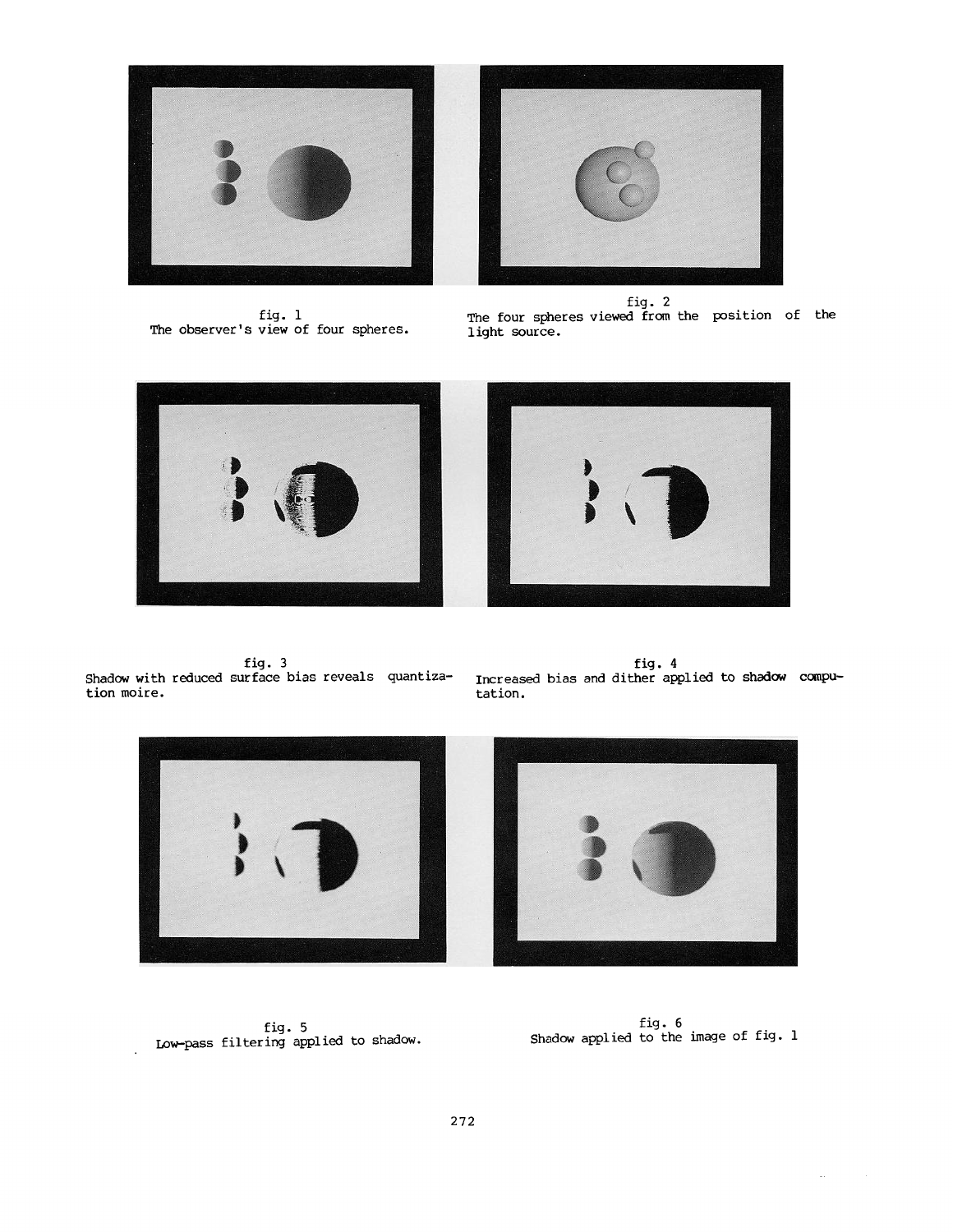

fig. 1 The observer's view of four spheres.



fig. 2 The four spheres viewed from the light source. position of the



fig. 3 Shadow with reduced surface bias reveals quantization moire.

fig. 4 Increased bias and dither applied to shadow computation.



fig. 5 Low-pass filtering applied to shadow.

fig. 6 Shadow applied to the image of fig. 1

 $\bar{\bar{}}$  .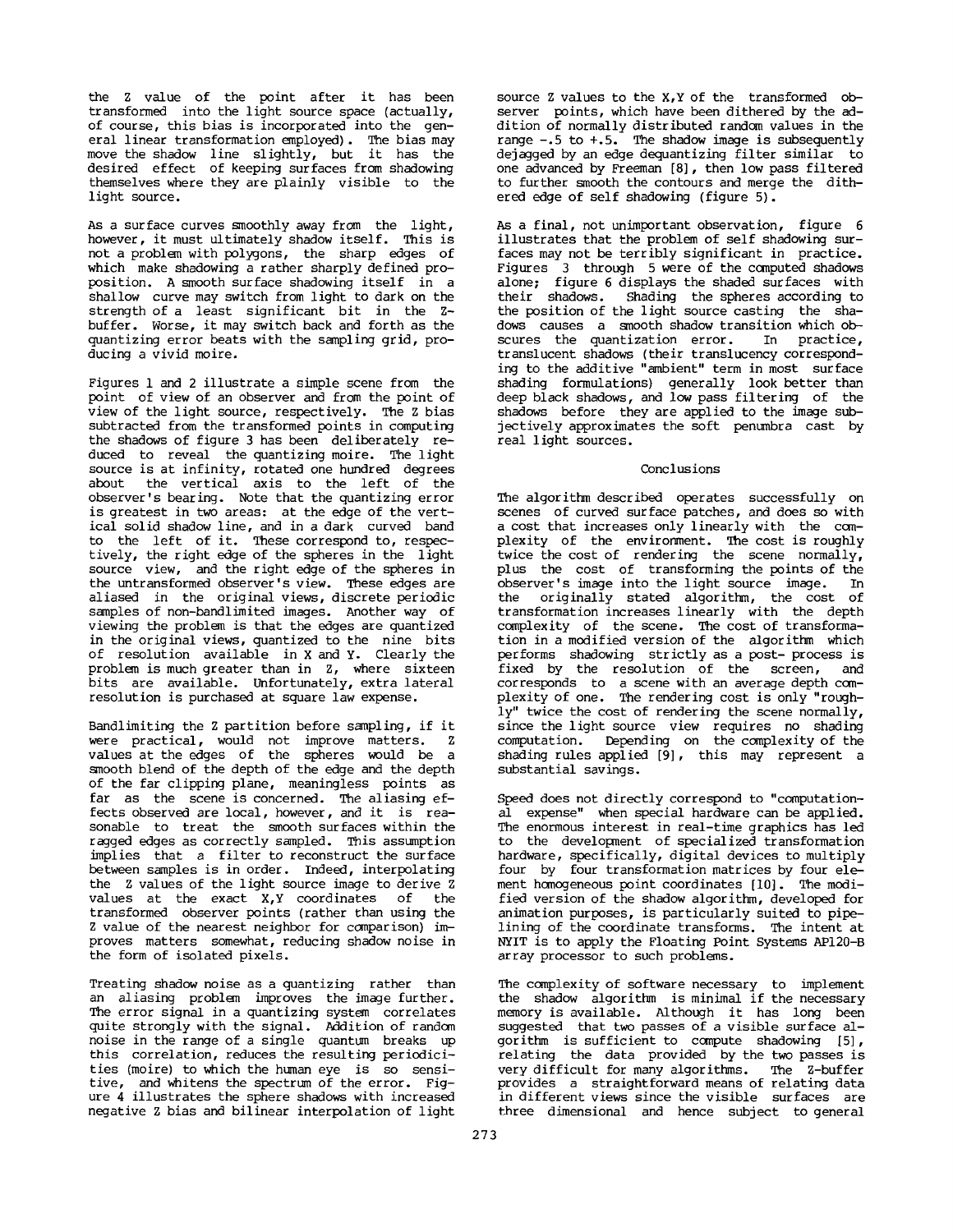the Z value of the point after it has been transformed into the light source space (actually, of course, this bias is incorporated into the general linear transformation employed). The bias may move the shadow line slightly, but it has the desired effect of keeping surfaces from shadowing themselves where they are plainly visible to the light source.

As a surface curves smoothly away from the light, however, it must ultimately shadow itself. This is not a problem with polygons, the sharp edges of which make shadowing a rather sharply defined proposition. A smooth surface shadowing itself in a shallow curve may switch from light to dark on the strength of a least significant bit in the Zbuffer. Worse, it may switch back and forth as the quantizing error beats with the ssmpling grid, producing a vivid moire.

Figures 1 and 2 illustrate a simple scene from the point of view of an observer and from the point of view of the light source, respectively. The Z bias subtracted from the transformed points in computing the shadows of figure 3 has been deliberately reduced to reveal the quantizing moire. The light source is at infinity, rotated one hundred degrees about the vertical axis to the left of the observer's bearing. Note that the quantizing error is greatest in two areas: at the edge of the vertical solid shadow line, and in a dark curved band to the left of it. These correspond to, respectively, the right edge of the spheres in the light source view, and the right edge of the spheres in the untransformed observer's view. These edges are aliased in the original views, discrete periodic sanples of non-bandlimited images. Another way of viewing the problem is that the edges are quantized in the original views, quantized to the nine bits of resolution available in X and Y. Clearly the problem is much greater than in Z, where sixteen bits are available. Unfortunately, extra lateral resolution is purchased at square law expense.

Bandlimiting the Z partition before sampling, if it were practical, would not improve matters. Z values at the edges of the spheres would be a smooth blend of the depth of the edge and the depth of the far clipping plane, meaningless points as far as the scene is concerned. The aliasing effects observed are local, however, and it is reasonable to treat the smooth surfaces within the ragged edges as correctly sampled. This assumption implies that a filter to reconstruct the surface between samples is in order. Indeed, interpolating the Z values of the light source image to derive Z values at the exact X,Y coordinates of the transformed observer points (rather than using the Z value of the nearest neighbor for comparison) improves matters somewhat, reducing shadow noise in the form of isolated pixels.

Treating shadow noise as a quantizing rather than an aliasing problem improves the image further. The error signal in a quantizing system correlates quite strongly with the signal. Addition of random noise in the range of a single quantum breaks up this correlation, reduces the resulting periodicities (moire) to which the human eye is so sensitive, and whitens the spectrum of the error. Figure 4 illustrates the sphere shadows with increased negative Z bias and bilinear interpolation of light

source Z values to the X,Y of the transformed observer points, which have been dithered by the addition of normally distributed random values in the range -.5 to +.5. The shadow image is subsequently dejagged by an edge dequantizing filter similar to one advanced by Freeman [8], then low pass filtered to further smooth the contours and merge the dithered edge of self shadowing (figure 5).

As a final, not unimportant observation, figure 6 illustrates that the problem of self shadowing surfaces may not be terribly significant in practice. Figures 3 through 5 were of the computed shadows alone; figure 6 displays the shaded surfaces with their shadows. Shading the spheres according to the position of the light source casting the shadows causes a smooth shadow transition which ob-<br>scures the quantization error. In practice, scures the quantization error. translucent shadows (their translucency corresponding to the additive "a~bient" term in most surface shading formulations) generally look better than deep black shadows, and low pass filtering of the shadows before they are applied to the image subjectively approximates the soft penumbra cast by real light sources.

### Conclusions

The algorithn described operates successfully on scenes of curved surface patches, and does so with a cost that increases only linearly with the complexity of the environment. The cost is roughly twice the cost of rendering the scene normally, plus the cost of transforming the points of the observer's image into the light source image. In the originally stated algorithm, the cost of transformation increases linearly with the depth complexity of the scene. The cost of transformation in a modified version of the algorithm which performs shadowing strictly as a post- process is fixed by the resolution of the screen, and corresponds to a scene with an average depth complexity of one. The rendering cost is only "roughly" twice the cost of rendering the scene normally, since the light source view requires no shading computation. Depending on the complexity of the shading rules applied [9], this may represent a substantial savings.

Speed does not directly correspond to "computational expense" when special hardware can be applied. The enormous interest in real-time graphics has led to the development of specialized transformation hardware, specifically, digital devices to multiply four by four transformation matrices by four element homogeneous point coordinates [10]. The modified version of the shadow algorithm, developed for animation purposes, is particularly suited to pipelining of the coordinate transforms. The intent at NYIT is to apply the Floating Point Systems API20-B array processor to such problems.

The complexity of software necessary to implement the shadow algorithn is minimal if the necessary memory is available. Although it has long been suggested that two passes of a visible surface algorithm is sufficient to compute shadowing [5], relating the data provided by the two passes is very difficult for many algorithms. The Z-buffer provides a straightforward means of relating data in different views since the visible surfaces are three dimensional and hence subject to general